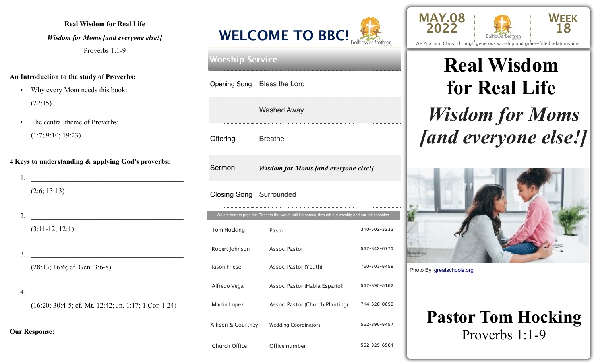#### **Real Wisdom for Real Life**

*Wisdom for Moms [and everyone else!]*

Proverbs 1:1-9

#### **An Introduction to the study of Proverbs:**

- Why every Mom needs this book: (22:15)
- The central theme of Proverbs: (1:7; 9:10; 19:23)

**4 Keys to understanding & applying God's proverbs:** 

| (2:6; 13:13)                                            |
|---------------------------------------------------------|
|                                                         |
|                                                         |
|                                                         |
| $(3:11-12; 12:1)$                                       |
|                                                         |
|                                                         |
| $(28:13; 16:6; cf. Gen. 3:6-8)$                         |
|                                                         |
|                                                         |
| $(16:20; 30:4-5; cf. Mt. 12:42; Jn. 1:17; 1 Cor. 1:24)$ |
|                                                         |
|                                                         |



| <b>Worship Service</b>  |                                                                                                        |              |  |  |
|-------------------------|--------------------------------------------------------------------------------------------------------|--------------|--|--|
|                         | Opening Song Bless the Lord                                                                            |              |  |  |
|                         | <b>Washed Away</b>                                                                                     |              |  |  |
| Offering                | <b>Breathe</b>                                                                                         |              |  |  |
| Sermon                  | <i>Wisdom for Moms [and everyone else!]</i>                                                            |              |  |  |
| Closing Song Surrounded |                                                                                                        |              |  |  |
|                         | We are here to proclaim Christ to the world until He comes, through our worship and our relationships. |              |  |  |
| Tom Hocking             | Pastor                                                                                                 | 310-502-3232 |  |  |
| Robert Johnson          | Assoc. Pastor                                                                                          | 562-842-6770 |  |  |
| Jason Friese            | Assoc. Pastor (Youth)                                                                                  | 760-703-8459 |  |  |
| Alfredo Vega            | Assoc. Pastor (Habla Español)                                                                          | 562-895-5162 |  |  |
| Martin Lopez            | Assoc. Pastor (Church Planting)                                                                        | 714-820-0659 |  |  |
| Allison & Courtney      | <b>Wedding Coordinators</b>                                                                            | 562-896-8457 |  |  |
| Church Office           | Office number                                                                                          | 562-925-6561 |  |  |





We Proclaim Christ through generous worship and grace-filled relationships

#### \_\_\_\_\_\_\_\_\_\_\_\_\_\_\_\_\_\_\_\_\_\_\_\_\_\_\_\_\_\_\_\_\_\_\_\_\_\_\_\_\_\_\_\_\_\_\_\_\_ **Real Wisdom for Real Life**

## *Wisdom for Moms [and everyone else!]*



Photo By: [greatschools.org](http://greatschools.org)

### **Pastor Tom Hocking**  Proverbs 1:1-9